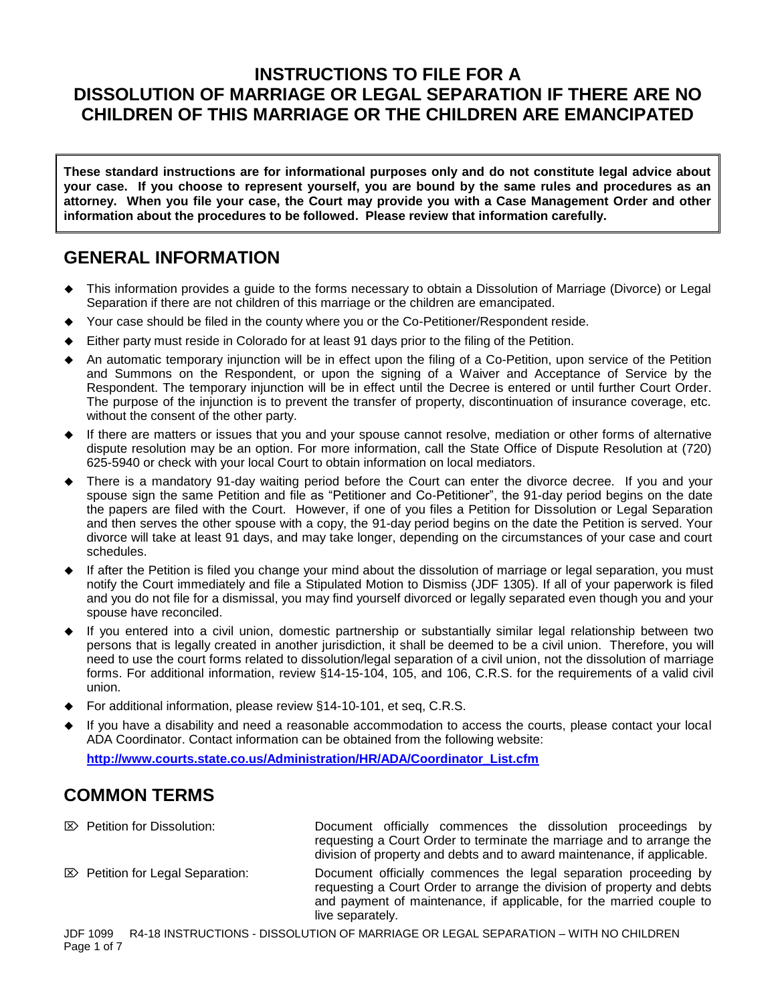### **INSTRUCTIONS TO FILE FOR A DISSOLUTION OF MARRIAGE OR LEGAL SEPARATION IF THERE ARE NO CHILDREN OF THIS MARRIAGE OR THE CHILDREN ARE EMANCIPATED**

**These standard instructions are for informational purposes only and do not constitute legal advice about your case. If you choose to represent yourself, you are bound by the same rules and procedures as an attorney. When you file your case, the Court may provide you with a Case Management Order and other information about the procedures to be followed. Please review that information carefully.**

### **GENERAL INFORMATION**

- This information provides a guide to the forms necessary to obtain a Dissolution of Marriage (Divorce) or Legal Separation if there are not children of this marriage or the children are emancipated.
- Your case should be filed in the county where you or the Co-Petitioner/Respondent reside.
- Either party must reside in Colorado for at least 91 days prior to the filing of the Petition.
- An automatic temporary injunction will be in effect upon the filing of a Co-Petition, upon service of the Petition and Summons on the Respondent, or upon the signing of a Waiver and Acceptance of Service by the Respondent. The temporary injunction will be in effect until the Decree is entered or until further Court Order. The purpose of the injunction is to prevent the transfer of property, discontinuation of insurance coverage, etc. without the consent of the other party.
- If there are matters or issues that you and your spouse cannot resolve, mediation or other forms of alternative dispute resolution may be an option. For more information, call the State Office of Dispute Resolution at (720) 625-5940 or check with your local Court to obtain information on local mediators.
- There is a mandatory 91-day waiting period before the Court can enter the divorce decree. If you and your spouse sign the same Petition and file as "Petitioner and Co-Petitioner", the 91-day period begins on the date the papers are filed with the Court. However, if one of you files a Petition for Dissolution or Legal Separation and then serves the other spouse with a copy, the 91-day period begins on the date the Petition is served. Your divorce will take at least 91 days, and may take longer, depending on the circumstances of your case and court schedules.
- If after the Petition is filed you change your mind about the dissolution of marriage or legal separation, you must notify the Court immediately and file a Stipulated Motion to Dismiss (JDF 1305). If all of your paperwork is filed and you do not file for a dismissal, you may find yourself divorced or legally separated even though you and your spouse have reconciled.
- If you entered into a civil union, domestic partnership or substantially similar legal relationship between two persons that is legally created in another jurisdiction, it shall be deemed to be a civil union. Therefore, you will need to use the court forms related to dissolution/legal separation of a civil union, not the dissolution of marriage forms. For additional information, review §14-15-104, 105, and 106, C.R.S. for the requirements of a valid civil union.
- For additional information, please review §14-10-101, et seq, C.R.S.
- If you have a disability and need a reasonable accommodation to access the courts, please contact your local ADA Coordinator. Contact information can be obtained from the following website:

**[http://www.courts.state.co.us/Administration/HR/ADA/Coordinator\\_List.cfm](http://www.courts.state.co.us/Administration/HR/ADA/Coordinator_List.cfm)**

# **COMMON TERMS**

- Petition for Dissolution: Document officially commences the dissolution proceedings by requesting a Court Order to terminate the marriage and to arrange the division of property and debts and to award maintenance, if applicable.
- $\mathbb{Z}$  Petition for Legal Separation: Document officially commences the legal separation proceeding by requesting a Court Order to arrange the division of property and debts and payment of maintenance, if applicable, for the married couple to live separately.

JDF 1099 R4-18 INSTRUCTIONS - DISSOLUTION OF MARRIAGE OR LEGAL SEPARATION – WITH NO CHILDREN Page 1 of 7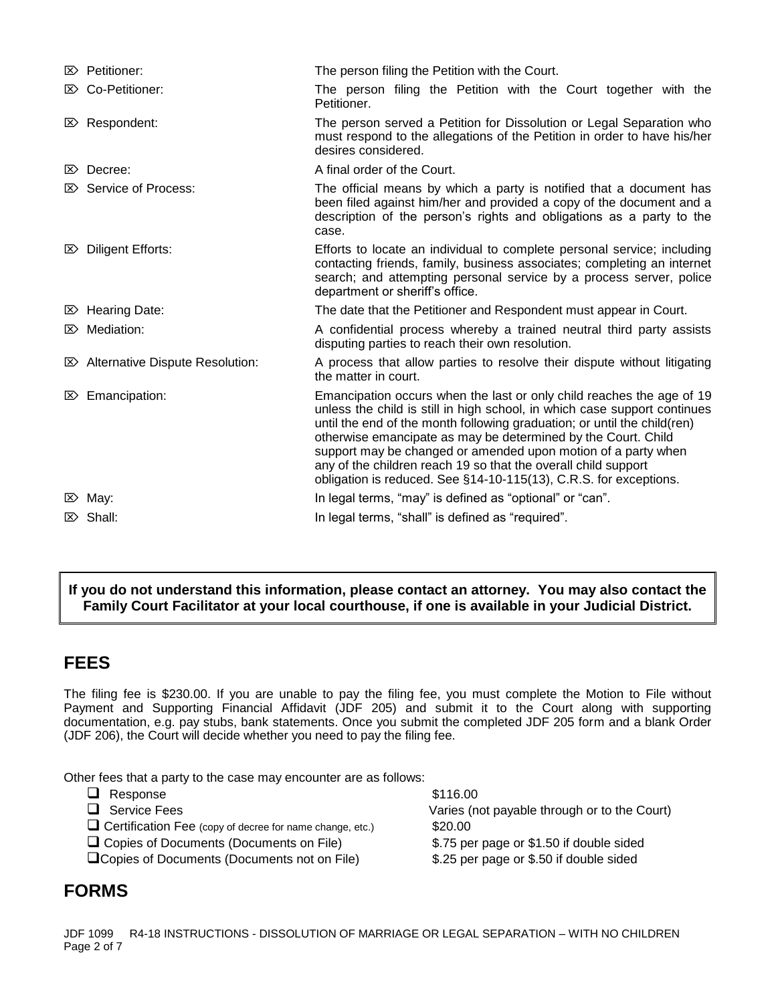|                | $\mathbb{Z}$ Petitioner:                     | The person filing the Petition with the Court.                                                                                                                                                                                                                                                                                                                                                                                                                                                          |  |  |  |
|----------------|----------------------------------------------|---------------------------------------------------------------------------------------------------------------------------------------------------------------------------------------------------------------------------------------------------------------------------------------------------------------------------------------------------------------------------------------------------------------------------------------------------------------------------------------------------------|--|--|--|
|                | <b>E&gt;</b> Co-Petitioner:                  | The person filing the Petition with the Court together with the<br>Petitioner.                                                                                                                                                                                                                                                                                                                                                                                                                          |  |  |  |
|                | $\mathbb{Z}$ Respondent:                     | The person served a Petition for Dissolution or Legal Separation who<br>must respond to the allegations of the Petition in order to have his/her<br>desires considered.                                                                                                                                                                                                                                                                                                                                 |  |  |  |
| $\ket{\times}$ | Decree:                                      | A final order of the Court.                                                                                                                                                                                                                                                                                                                                                                                                                                                                             |  |  |  |
| I×>            | Service of Process:                          | The official means by which a party is notified that a document has<br>been filed against him/her and provided a copy of the document and a<br>description of the person's rights and obligations as a party to the<br>case.                                                                                                                                                                                                                                                                            |  |  |  |
| ⊠≻             | Diligent Efforts:                            | Efforts to locate an individual to complete personal service; including<br>contacting friends, family, business associates; completing an internet<br>search; and attempting personal service by a process server, police<br>department or sheriff's office.                                                                                                                                                                                                                                            |  |  |  |
|                | $\boxtimes$ Hearing Date:                    | The date that the Petitioner and Respondent must appear in Court.                                                                                                                                                                                                                                                                                                                                                                                                                                       |  |  |  |
| ⊠              | Mediation:                                   | A confidential process whereby a trained neutral third party assists<br>disputing parties to reach their own resolution.                                                                                                                                                                                                                                                                                                                                                                                |  |  |  |
|                | $\mathbb{Z}$ Alternative Dispute Resolution: | A process that allow parties to resolve their dispute without litigating<br>the matter in court.                                                                                                                                                                                                                                                                                                                                                                                                        |  |  |  |
|                | $\mathbb{Z}$ Emancipation:                   | Emancipation occurs when the last or only child reaches the age of 19<br>unless the child is still in high school, in which case support continues<br>until the end of the month following graduation; or until the child(ren)<br>otherwise emancipate as may be determined by the Court. Child<br>support may be changed or amended upon motion of a party when<br>any of the children reach 19 so that the overall child support<br>obligation is reduced. See §14-10-115(13), C.R.S. for exceptions. |  |  |  |
|                | $\mathbb{Z}$ May:                            | In legal terms, "may" is defined as "optional" or "can".                                                                                                                                                                                                                                                                                                                                                                                                                                                |  |  |  |
|                | $\mathbb{Z}$ Shall:                          | In legal terms, "shall" is defined as "required".                                                                                                                                                                                                                                                                                                                                                                                                                                                       |  |  |  |

### **If you do not understand this information, please contact an attorney. You may also contact the Family Court Facilitator at your local courthouse, if one is available in your Judicial District.**

# **FEES**

The filing fee is \$230.00. If you are unable to pay the filing fee, you must complete the Motion to File without Payment and Supporting Financial Affidavit (JDF 205) and submit it to the Court along with supporting documentation, e.g. pay stubs, bank statements. Once you submit the completed JDF 205 form and a blank Order (JDF 206), the Court will decide whether you need to pay the filing fee.

Other fees that a party to the case may encounter are as follows:

 $\Box$  Response  $$116.00$  Service Fees Varies (not payable through or to the Court) □ Certification Fee (copy of decree for name change, etc.) \$20.00 Copies of Documents (Documents on File) \$.75 per page or \$1.50 if double sided Copies of Documents (Documents not on File) \$.25 per page or \$.50 if double sided

# **FORMS**

JDF 1099 R4-18 INSTRUCTIONS - DISSOLUTION OF MARRIAGE OR LEGAL SEPARATION – WITH NO CHILDREN Page 2 of 7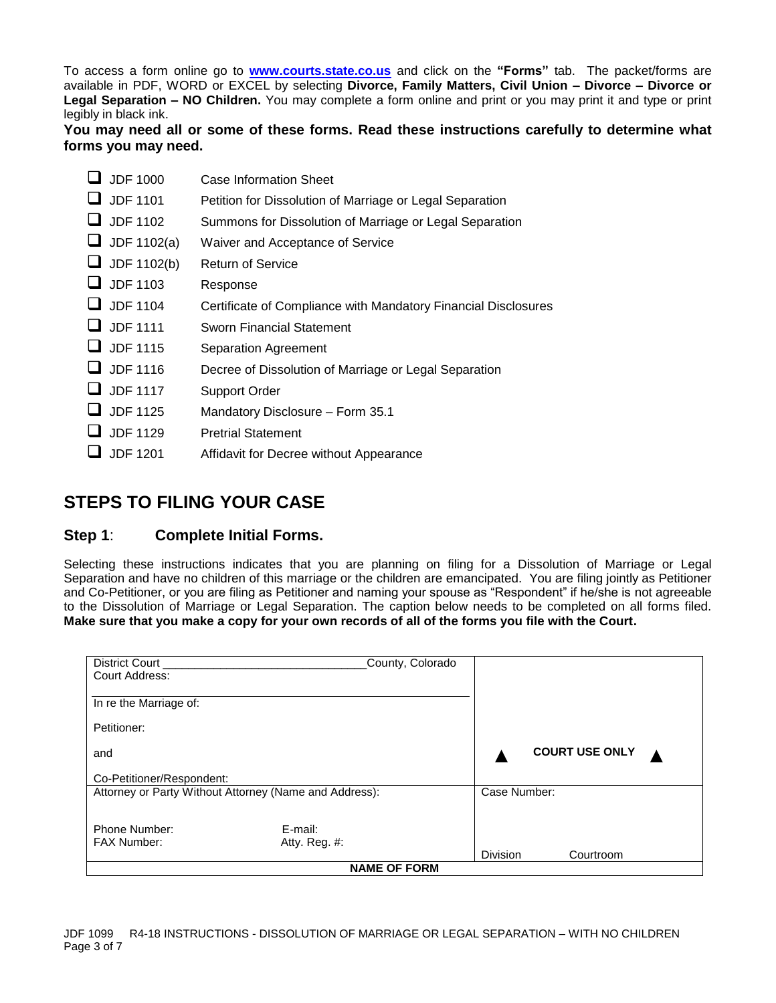To access a form online go to **[www.courts.state.co.us](http://www.courts.state.co.us/)** and click on the **"Forms"** tab. The packet/forms are available in PDF, WORD or EXCEL by selecting **Divorce, Family Matters, Civil Union – Divorce – Divorce or Legal Separation – NO Children.** You may complete a form online and print or you may print it and type or print legibly in black ink.

**You may need all or some of these forms. Read these instructions carefully to determine what forms you may need.**

| $\Box$ JDF 1000 | Case Information Sheet |
|-----------------|------------------------|
|-----------------|------------------------|

- JDF 1101 Petition for Dissolution of Marriage or Legal Separation
- JDF 1102 Summons for Dissolution of Marriage or Legal Separation
- $\Box$  JDF 1102(a) Waiver and Acceptance of Service
- $\Box$  JDF 1102(b) Return of Service
- **JDF** 1103 Response
- JDF 1104 Certificate of Compliance with Mandatory Financial Disclosures
- **JDF 1111** Sworn Financial Statement
- **JDF 1115** Separation Agreement
- JDF 1116 Decree of Dissolution of Marriage or Legal Separation
- JDF 1117 Support Order
- $\Box$  JDF 1125 Mandatory Disclosure Form 35.1
- $\Box$  JDF 1129 Pretrial Statement
- $\Box$  JDF 1201 Affidavit for Decree without Appearance

## **STEPS TO FILING YOUR CASE**

### **Step 1**: **Complete Initial Forms.**

Selecting these instructions indicates that you are planning on filing for a Dissolution of Marriage or Legal Separation and have no children of this marriage or the children are emancipated. You are filing jointly as Petitioner and Co-Petitioner, or you are filing as Petitioner and naming your spouse as "Respondent" if he/she is not agreeable to the Dissolution of Marriage or Legal Separation. The caption below needs to be completed on all forms filed. **Make sure that you make a copy for your own records of all of the forms you file with the Court.**

| District Court<br>Court Address:                       | County, Colorado |                 |                       |  |  |  |
|--------------------------------------------------------|------------------|-----------------|-----------------------|--|--|--|
| In re the Marriage of:                                 |                  |                 |                       |  |  |  |
| Petitioner:                                            |                  |                 |                       |  |  |  |
| and                                                    |                  |                 | <b>COURT USE ONLY</b> |  |  |  |
| Co-Petitioner/Respondent:                              |                  |                 |                       |  |  |  |
| Attorney or Party Without Attorney (Name and Address): |                  |                 | Case Number:          |  |  |  |
| Phone Number:                                          | E-mail:          |                 |                       |  |  |  |
| <b>FAX Number:</b>                                     | Atty. Reg. #:    | <b>Division</b> | Courtroom             |  |  |  |
| <b>NAME OF FORM</b>                                    |                  |                 |                       |  |  |  |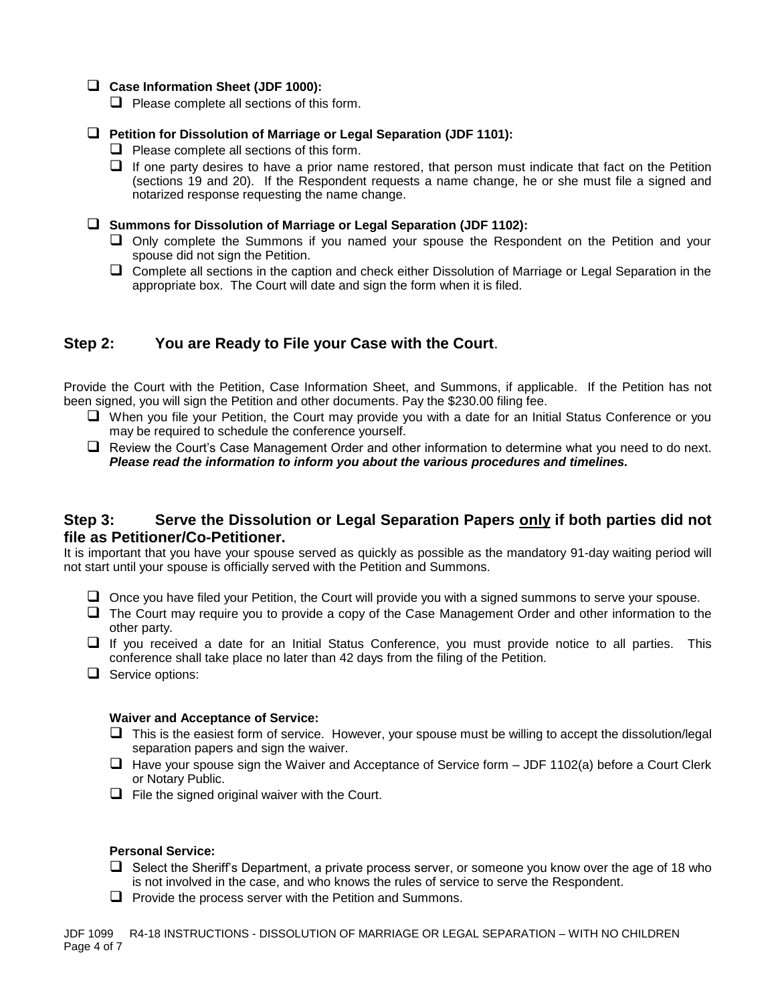### **Case Information Sheet (JDF 1000):**

 $\Box$  Please complete all sections of this form.

#### **Petition for Dissolution of Marriage or Legal Separation (JDF 1101):**

- $\Box$  Please complete all sections of this form.
- $\Box$  If one party desires to have a prior name restored, that person must indicate that fact on the Petition (sections 19 and 20). If the Respondent requests a name change, he or she must file a signed and notarized response requesting the name change.
- **Summons for Dissolution of Marriage or Legal Separation (JDF 1102):**
	- Only complete the Summons if you named your spouse the Respondent on the Petition and your spouse did not sign the Petition.
	- $\Box$  Complete all sections in the caption and check either Dissolution of Marriage or Legal Separation in the appropriate box. The Court will date and sign the form when it is filed.

### **Step 2: You are Ready to File your Case with the Court**.

Provide the Court with the Petition, Case Information Sheet, and Summons, if applicable. If the Petition has not been signed, you will sign the Petition and other documents. Pay the \$230.00 filing fee.

- When you file your Petition, the Court may provide you with a date for an Initial Status Conference or you may be required to schedule the conference yourself.
- Review the Court's Case Management Order and other information to determine what you need to do next. *Please read the information to inform you about the various procedures and timelines.*

### **Step 3: Serve the Dissolution or Legal Separation Papers only if both parties did not file as Petitioner/Co-Petitioner.**

It is important that you have your spouse served as quickly as possible as the mandatory 91-day waiting period will not start until your spouse is officially served with the Petition and Summons.

- $\Box$  Once you have filed your Petition, the Court will provide you with a signed summons to serve your spouse.
- $\Box$  The Court may require you to provide a copy of the Case Management Order and other information to the other party.
- $\Box$  If you received a date for an Initial Status Conference, you must provide notice to all parties. This conference shall take place no later than 42 days from the filing of the Petition.
- $\Box$  Service options:

#### **Waiver and Acceptance of Service:**

- $\Box$  This is the easiest form of service. However, your spouse must be willing to accept the dissolution/legal separation papers and sign the waiver.
- $\Box$  Have your spouse sign the Waiver and Acceptance of Service form  $-$  JDF 1102(a) before a Court Clerk or Notary Public.
- $\Box$  File the signed original waiver with the Court.

#### **Personal Service:**

- $\Box$  Select the Sheriff's Department, a private process server, or someone you know over the age of 18 who is not involved in the case, and who knows the rules of service to serve the Respondent.
- $\Box$  Provide the process server with the Petition and Summons.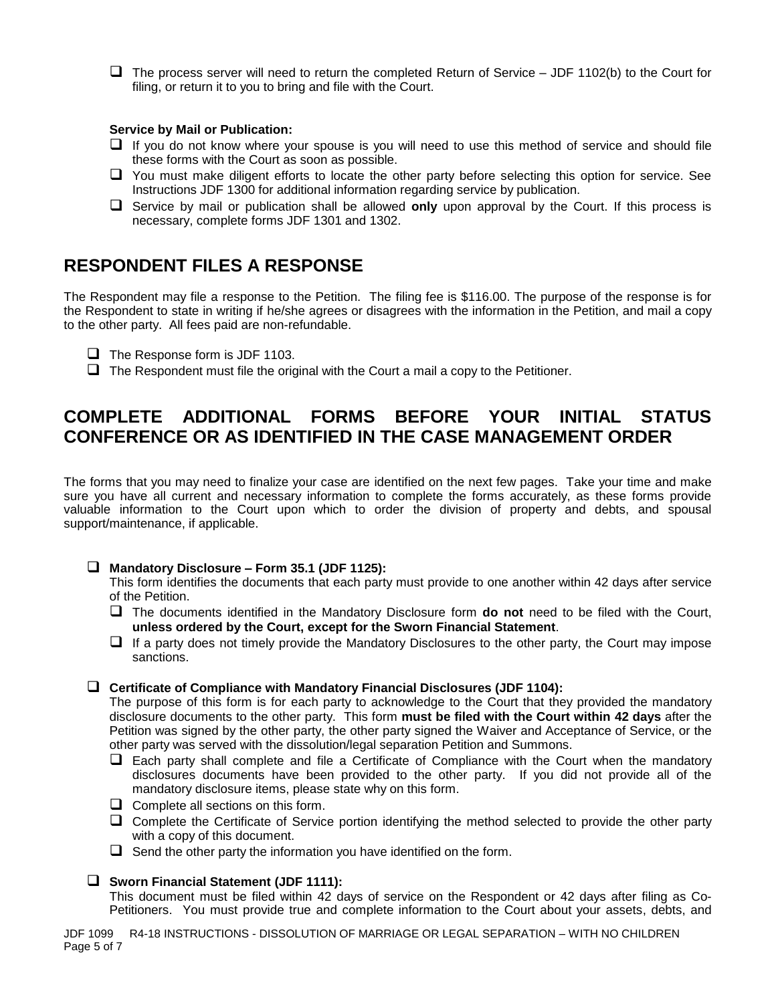$\Box$  The process server will need to return the completed Return of Service – JDF 1102(b) to the Court for filing, or return it to you to bring and file with the Court.

#### **Service by Mail or Publication:**

- $\Box$  If you do not know where your spouse is you will need to use this method of service and should file these forms with the Court as soon as possible.
- You must make diligent efforts to locate the other party before selecting this option for service. See Instructions JDF 1300 for additional information regarding service by publication.
- Service by mail or publication shall be allowed **only** upon approval by the Court. If this process is necessary, complete forms JDF 1301 and 1302.

### **RESPONDENT FILES A RESPONSE**

The Respondent may file a response to the Petition. The filing fee is \$116.00. The purpose of the response is for the Respondent to state in writing if he/she agrees or disagrees with the information in the Petition, and mail a copy to the other party. All fees paid are non-refundable.

- $\Box$  The Response form is JDF 1103.
- $\Box$  The Respondent must file the original with the Court a mail a copy to the Petitioner.

# **COMPLETE ADDITIONAL FORMS BEFORE YOUR INITIAL STATUS CONFERENCE OR AS IDENTIFIED IN THE CASE MANAGEMENT ORDER**

The forms that you may need to finalize your case are identified on the next few pages. Take your time and make sure you have all current and necessary information to complete the forms accurately, as these forms provide valuable information to the Court upon which to order the division of property and debts, and spousal support/maintenance, if applicable.

#### **Mandatory Disclosure – Form 35.1 (JDF 1125):**

This form identifies the documents that each party must provide to one another within 42 days after service of the Petition.

- The documents identified in the Mandatory Disclosure form **do not** need to be filed with the Court, **unless ordered by the Court, except for the Sworn Financial Statement**.
- $\Box$  If a party does not timely provide the Mandatory Disclosures to the other party, the Court may impose sanctions.

#### **Certificate of Compliance with Mandatory Financial Disclosures (JDF 1104):**

The purpose of this form is for each party to acknowledge to the Court that they provided the mandatory disclosure documents to the other party. This form **must be filed with the Court within 42 days** after the Petition was signed by the other party, the other party signed the Waiver and Acceptance of Service, or the other party was served with the dissolution/legal separation Petition and Summons.

- $\Box$  Each party shall complete and file a Certificate of Compliance with the Court when the mandatory disclosures documents have been provided to the other party. If you did not provide all of the mandatory disclosure items, please state why on this form.
- $\Box$  Complete all sections on this form.
- Complete the Certificate of Service portion identifying the method selected to provide the other party with a copy of this document.
- $\Box$  Send the other party the information you have identified on the form.

### **Sworn Financial Statement (JDF 1111):**

This document must be filed within 42 days of service on the Respondent or 42 days after filing as Co-Petitioners. You must provide true and complete information to the Court about your assets, debts, and

JDF 1099 R4-18 INSTRUCTIONS - DISSOLUTION OF MARRIAGE OR LEGAL SEPARATION – WITH NO CHILDREN Page 5 of 7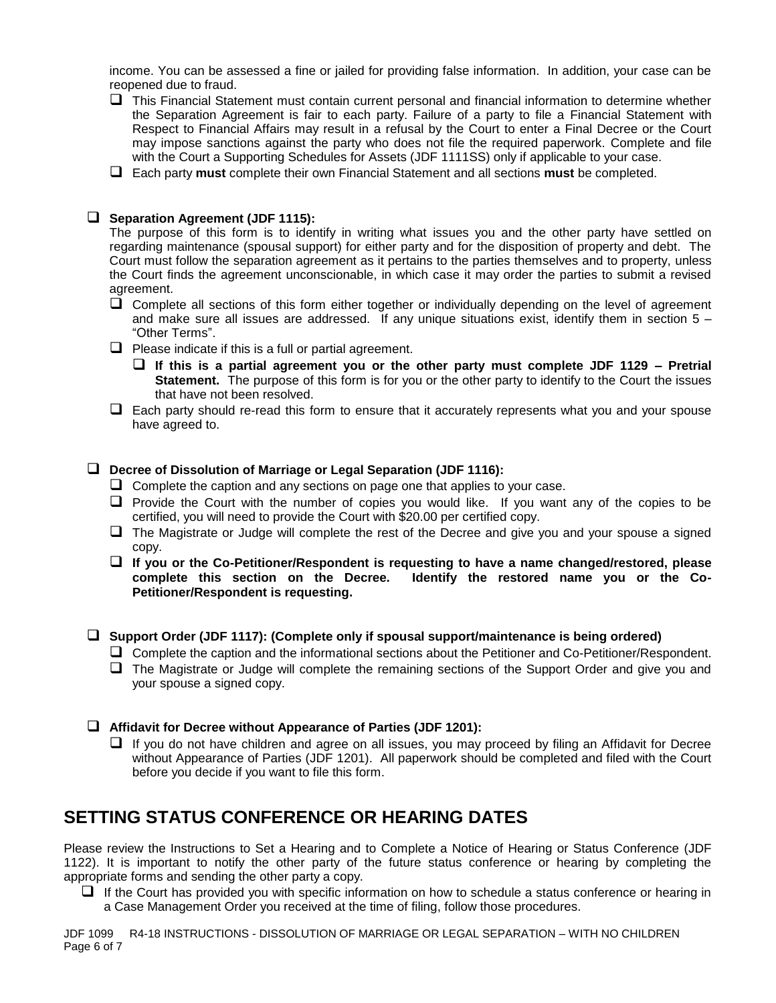income. You can be assessed a fine or jailed for providing false information. In addition, your case can be reopened due to fraud.

- $\Box$  This Financial Statement must contain current personal and financial information to determine whether the Separation Agreement is fair to each party. Failure of a party to file a Financial Statement with Respect to Financial Affairs may result in a refusal by the Court to enter a Final Decree or the Court may impose sanctions against the party who does not file the required paperwork. Complete and file with the Court a Supporting Schedules for Assets (JDF 1111SS) only if applicable to your case.
- Each party **must** complete their own Financial Statement and all sections **must** be completed.

#### **Separation Agreement (JDF 1115):**

The purpose of this form is to identify in writing what issues you and the other party have settled on regarding maintenance (spousal support) for either party and for the disposition of property and debt. The Court must follow the separation agreement as it pertains to the parties themselves and to property, unless the Court finds the agreement unconscionable, in which case it may order the parties to submit a revised agreement.

- $\Box$  Complete all sections of this form either together or individually depending on the level of agreement and make sure all issues are addressed. If any unique situations exist, identify them in section  $5 -$ "Other Terms".
- $\Box$  Please indicate if this is a full or partial agreement.
	- **If this is a partial agreement you or the other party must complete JDF 1129 – Pretrial Statement.** The purpose of this form is for you or the other party to identify to the Court the issues that have not been resolved.
- $\Box$  Each party should re-read this form to ensure that it accurately represents what you and your spouse have agreed to.

#### **Decree of Dissolution of Marriage or Legal Separation (JDF 1116):**

- $\Box$  Complete the caption and any sections on page one that applies to your case.
- $\Box$  Provide the Court with the number of copies you would like. If you want any of the copies to be certified, you will need to provide the Court with \$20.00 per certified copy.
- $\Box$  The Magistrate or Judge will complete the rest of the Decree and give you and your spouse a signed copy.
- **If you or the Co-Petitioner/Respondent is requesting to have a name changed/restored, please complete this section on the Decree. Identify the restored name you or the Co-Petitioner/Respondent is requesting.**

#### **Support Order (JDF 1117): (Complete only if spousal support/maintenance is being ordered)**

- Complete the caption and the informational sections about the Petitioner and Co-Petitioner/Respondent.
- □ The Magistrate or Judge will complete the remaining sections of the Support Order and give you and your spouse a signed copy.
- **Affidavit for Decree without Appearance of Parties (JDF 1201):**
	- $\Box$  If you do not have children and agree on all issues, you may proceed by filing an Affidavit for Decree without Appearance of Parties (JDF 1201). All paperwork should be completed and filed with the Court before you decide if you want to file this form.

### **SETTING STATUS CONFERENCE OR HEARING DATES**

Please review the Instructions to Set a Hearing and to Complete a Notice of Hearing or Status Conference (JDF 1122). It is important to notify the other party of the future status conference or hearing by completing the appropriate forms and sending the other party a copy.

 $\Box$  If the Court has provided you with specific information on how to schedule a status conference or hearing in a Case Management Order you received at the time of filing, follow those procedures.

JDF 1099 R4-18 INSTRUCTIONS - DISSOLUTION OF MARRIAGE OR LEGAL SEPARATION – WITH NO CHILDREN Page 6 of 7